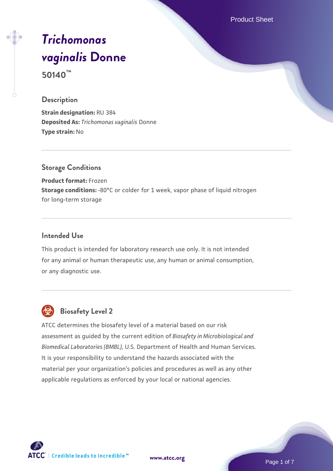Product Sheet

# *[Trichomonas](https://www.atcc.org/products/50140) [vaginalis](https://www.atcc.org/products/50140)* **[Donne](https://www.atcc.org/products/50140)**

**50140™**

#### **Description**

**Strain designation:** RU 384 **Deposited As:** *Trichomonas vaginalis* Donne **Type strain:** No

### **Storage Conditions**

**Product format:** Frozen **Storage conditions:** -80°C or colder for 1 week, vapor phase of liquid nitrogen for long-term storage

#### **Intended Use**

This product is intended for laboratory research use only. It is not intended for any animal or human therapeutic use, any human or animal consumption, or any diagnostic use.



# **Biosafety Level 2**

ATCC determines the biosafety level of a material based on our risk assessment as guided by the current edition of *Biosafety in Microbiological and Biomedical Laboratories (BMBL)*, U.S. Department of Health and Human Services. It is your responsibility to understand the hazards associated with the material per your organization's policies and procedures as well as any other applicable regulations as enforced by your local or national agencies.



**[www.atcc.org](http://www.atcc.org)**

Page 1 of 7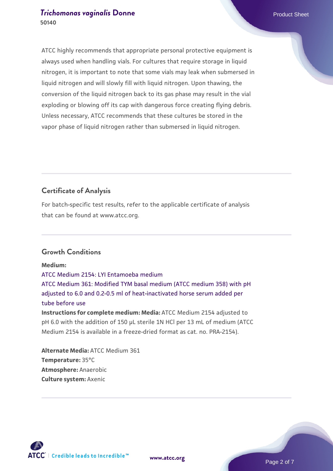ATCC highly recommends that appropriate personal protective equipment is always used when handling vials. For cultures that require storage in liquid nitrogen, it is important to note that some vials may leak when submersed in liquid nitrogen and will slowly fill with liquid nitrogen. Upon thawing, the conversion of the liquid nitrogen back to its gas phase may result in the vial exploding or blowing off its cap with dangerous force creating flying debris. Unless necessary, ATCC recommends that these cultures be stored in the vapor phase of liquid nitrogen rather than submersed in liquid nitrogen.

# **Certificate of Analysis**

For batch-specific test results, refer to the applicable certificate of analysis that can be found at www.atcc.org.

# **Growth Conditions**

**Medium:**  [ATCC Medium 2154: LYI Entamoeba medium](https://www.atcc.org/-/media/product-assets/documents/microbial-media-formulations/2/1/5/4/atcc-medium-2154.pdf?rev=b93a2db4f4b047b7be2a517e2f9f886e) [ATCC Medium 361: Modified TYM basal medium \(ATCC medium 358\) with pH](https://www.atcc.org/-/media/product-assets/documents/microbial-media-formulations/3/6/1/atcc-medium-361.pdf?rev=97e322c8d39e491787f81623f7b64aea) [adjusted to 6.0 and 0.2-0.5 ml of heat-inactivated horse serum added per](https://www.atcc.org/-/media/product-assets/documents/microbial-media-formulations/3/6/1/atcc-medium-361.pdf?rev=97e322c8d39e491787f81623f7b64aea) [tube before use](https://www.atcc.org/-/media/product-assets/documents/microbial-media-formulations/3/6/1/atcc-medium-361.pdf?rev=97e322c8d39e491787f81623f7b64aea) **Instructions for complete medium: Media:** ATCC Medium 2154 adjusted to pH 6.0 with the addition of 150 µL sterile 1N HCl per 13 mL of medium (ATCC Medium 2154 is available in a freeze-dried format as cat. no. PRA-2154).

**Alternate Media:** ATCC Medium 361 **Temperature:** 35°C **Atmosphere:** Anaerobic **Culture system:** Axenic

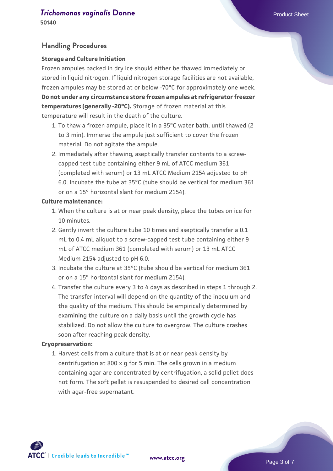# **Handling Procedures**

#### **Storage and Culture Initiation**

Frozen ampules packed in dry ice should either be thawed immediately or stored in liquid nitrogen. If liquid nitrogen storage facilities are not available, frozen ampules may be stored at or below -70°C for approximately one week. **Do not under any circumstance store frozen ampules at refrigerator freezer temperatures (generally -20°C).** Storage of frozen material at this temperature will result in the death of the culture.

- 1. To thaw a frozen ampule, place it in a 35°C water bath, until thawed (2 to 3 min). Immerse the ampule just sufficient to cover the frozen material. Do not agitate the ampule.
- 2. Immediately after thawing, aseptically transfer contents to a screwcapped test tube containing either 9 mL of ATCC medium 361 (completed with serum) or 13 mL ATCC Medium 2154 adjusted to pH 6.0. Incubate the tube at 35°C (tube should be vertical for medium 361 or on a 15° horizontal slant for medium 2154).

#### **Culture maintenance:**

- 1. When the culture is at or near peak density, place the tubes on ice for 10 minutes.
- 2. Gently invert the culture tube 10 times and aseptically transfer a 0.1 mL to 0.4 mL aliquot to a screw-capped test tube containing either 9 mL of ATCC medium 361 (completed with serum) or 13 mL ATCC Medium 2154 adjusted to pH 6.0.
- 3. Incubate the culture at 35°C (tube should be vertical for medium 361  $\,$ or on a 15° horizontal slant for medium 2154).
- 4. Transfer the culture every 3 to 4 days as described in steps 1 through 2. The transfer interval will depend on the quantity of the inoculum and the quality of the medium. This should be empirically determined by examining the culture on a daily basis until the growth cycle has stabilized. Do not allow the culture to overgrow. The culture crashes soon after reaching peak density.

#### **Cryopreservation:**

1. Harvest cells from a culture that is at or near peak density by centrifugation at 800 x g for 5 min. The cells grown in a medium containing agar are concentrated by centrifugation, a solid pellet does not form. The soft pellet is resuspended to desired cell concentration with agar-free supernatant.

ATCC<sup>\*</sup> | Credible leads to Incredible™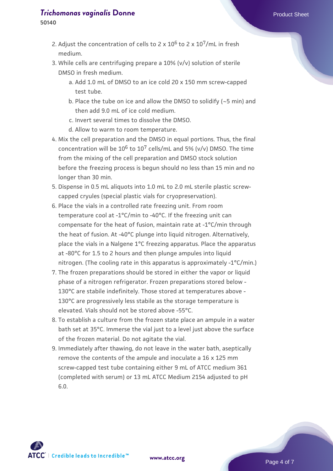**50140**

- 2. Adjust the concentration of cells to 2 x 10<sup>6</sup> to 2 x 10<sup>7</sup>/mL in fresh medium.
- While cells are centrifuging prepare a 10% (v/v) solution of sterile 3. DMSO in fresh medium.
	- a. Add 1.0 mL of DMSO to an ice cold 20 x 150 mm screw-capped test tube.
	- b. Place the tube on ice and allow the DMSO to solidify (~5 min) and then add 9.0 mL of ice cold medium.
	- c. Invert several times to dissolve the DMSO.
	- d. Allow to warm to room temperature.
- 4. Mix the cell preparation and the DMSO in equal portions. Thus, the final concentration will be  $10^6$  to  $10^7$  cells/mL and 5% (v/v) DMSO. The time from the mixing of the cell preparation and DMSO stock solution before the freezing process is begun should no less than 15 min and no longer than 30 min.
- 5. Dispense in 0.5 mL aliquots into 1.0 mL to 2.0 mL sterile plastic screwcapped cryules (special plastic vials for cryopreservation).
- 6. Place the vials in a controlled rate freezing unit. From room temperature cool at -1°C/min to -40°C. If the freezing unit can compensate for the heat of fusion, maintain rate at -1°C/min through the heat of fusion. At -40°C plunge into liquid nitrogen. Alternatively, place the vials in a Nalgene 1°C freezing apparatus. Place the apparatus at -80°C for 1.5 to 2 hours and then plunge ampules into liquid nitrogen. (The cooling rate in this apparatus is approximately -1°C/min.)
- The frozen preparations should be stored in either the vapor or liquid 7. phase of a nitrogen refrigerator. Frozen preparations stored below - 130°C are stabile indefinitely. Those stored at temperatures above - 130°C are progressively less stabile as the storage temperature is elevated. Vials should not be stored above -55°C.
- 8. To establish a culture from the frozen state place an ampule in a water bath set at 35°C. Immerse the vial just to a level just above the surface of the frozen material. Do not agitate the vial.
- 9. Immediately after thawing, do not leave in the water bath, aseptically remove the contents of the ampule and inoculate a 16 x 125 mm screw-capped test tube containing either 9 mL of ATCC medium 361 (completed with serum) or 13 mL ATCC Medium 2154 adjusted to pH 6.0.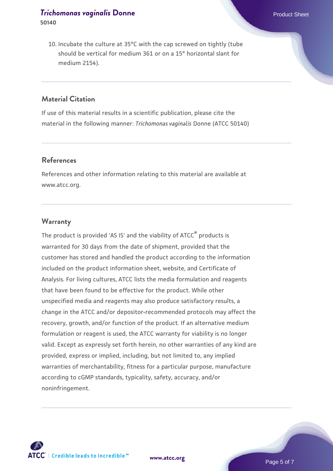# **Material Citation**

If use of this material results in a scientific publication, please cite the material in the following manner: *Trichomonas vaginalis* Donne (ATCC 50140)

### **References**

References and other information relating to this material are available at www.atcc.org.

#### **Warranty**

The product is provided 'AS IS' and the viability of ATCC® products is warranted for 30 days from the date of shipment, provided that the customer has stored and handled the product according to the information included on the product information sheet, website, and Certificate of Analysis. For living cultures, ATCC lists the media formulation and reagents that have been found to be effective for the product. While other unspecified media and reagents may also produce satisfactory results, a change in the ATCC and/or depositor-recommended protocols may affect the recovery, growth, and/or function of the product. If an alternative medium formulation or reagent is used, the ATCC warranty for viability is no longer valid. Except as expressly set forth herein, no other warranties of any kind are provided, express or implied, including, but not limited to, any implied warranties of merchantability, fitness for a particular purpose, manufacture according to cGMP standards, typicality, safety, accuracy, and/or noninfringement.



**[www.atcc.org](http://www.atcc.org)**

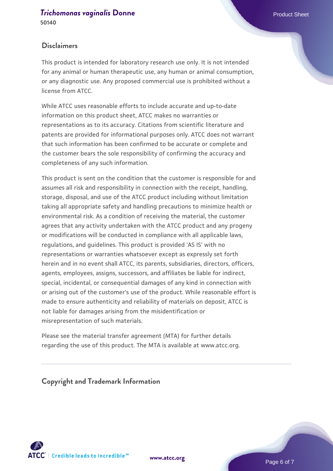# **Disclaimers**

This product is intended for laboratory research use only. It is not intended for any animal or human therapeutic use, any human or animal consumption, or any diagnostic use. Any proposed commercial use is prohibited without a license from ATCC.

While ATCC uses reasonable efforts to include accurate and up-to-date information on this product sheet, ATCC makes no warranties or representations as to its accuracy. Citations from scientific literature and patents are provided for informational purposes only. ATCC does not warrant that such information has been confirmed to be accurate or complete and the customer bears the sole responsibility of confirming the accuracy and completeness of any such information.

This product is sent on the condition that the customer is responsible for and assumes all risk and responsibility in connection with the receipt, handling, storage, disposal, and use of the ATCC product including without limitation taking all appropriate safety and handling precautions to minimize health or environmental risk. As a condition of receiving the material, the customer agrees that any activity undertaken with the ATCC product and any progeny or modifications will be conducted in compliance with all applicable laws, regulations, and guidelines. This product is provided 'AS IS' with no representations or warranties whatsoever except as expressly set forth herein and in no event shall ATCC, its parents, subsidiaries, directors, officers, agents, employees, assigns, successors, and affiliates be liable for indirect, special, incidental, or consequential damages of any kind in connection with or arising out of the customer's use of the product. While reasonable effort is made to ensure authenticity and reliability of materials on deposit, ATCC is not liable for damages arising from the misidentification or misrepresentation of such materials.

Please see the material transfer agreement (MTA) for further details regarding the use of this product. The MTA is available at www.atcc.org.

**Copyright and Trademark Information**